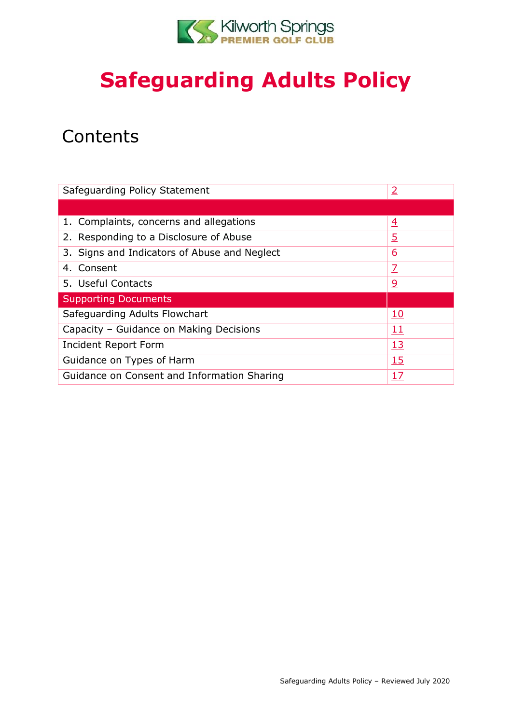

# **Safeguarding Adults Policy**

## **Contents**

| Safeguarding Policy Statement                 | $\overline{2}$ |
|-----------------------------------------------|----------------|
|                                               |                |
| 1. Complaints, concerns and allegations       | $\overline{4}$ |
| 2. Responding to a Disclosure of Abuse        | <u>5</u>       |
| 3. Signs and Indicators of Abuse and Neglect  | <u>6</u>       |
| 4. Consent                                    | Z              |
| 5. Useful Contacts                            | $\overline{6}$ |
| <b>Supporting Documents</b>                   |                |
| Safeguarding Adults Flowchart                 | <u>10</u>      |
| Capacity - Guidance on Making Decisions<br>11 |                |
| Incident Report Form                          | <u>13</u>      |
| 15<br>Guidance on Types of Harm               |                |
| Guidance on Consent and Information Sharing   | 17             |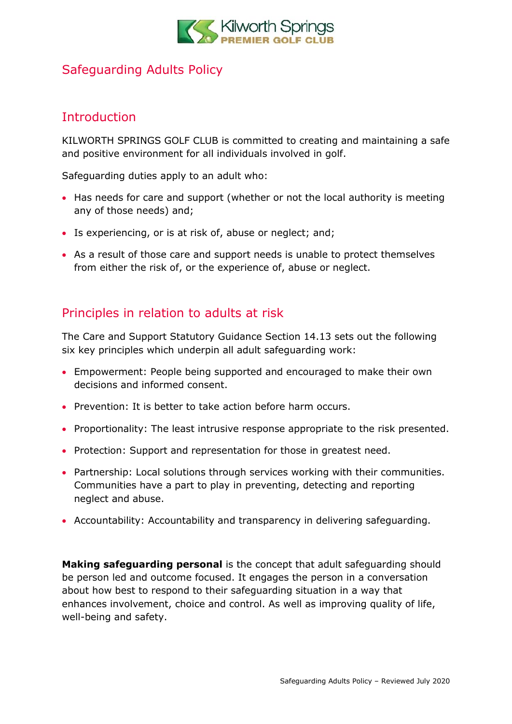

### Safeguarding Adults Policy

### <span id="page-1-0"></span>**Introduction**

KILWORTH SPRINGS GOLF CLUB is committed to creating and maintaining a safe and positive environment for all individuals involved in golf.

Safeguarding duties apply to an adult who:

- Has needs for care and support (whether or not the local authority is meeting any of those needs) and;
- Is experiencing, or is at risk of, abuse or neglect; and;
- As a result of those care and support needs is unable to protect themselves from either the risk of, or the experience of, abuse or neglect.

### Principles in relation to adults at risk

The Care and Support Statutory Guidance Section 14.13 sets out the following six key principles which underpin all adult safeguarding work:

- Empowerment: People being supported and encouraged to make their own decisions and informed consent.
- Prevention: It is better to take action before harm occurs.
- Proportionality: The least intrusive response appropriate to the risk presented.
- Protection: Support and representation for those in greatest need.
- Partnership: Local solutions through services working with their communities. Communities have a part to play in preventing, detecting and reporting neglect and abuse.
- Accountability: Accountability and transparency in delivering safeguarding.

**Making safeguarding personal** is the concept that adult safeguarding should be person led and outcome focused. It engages the person in a conversation about how best to respond to their safeguarding situation in a way that enhances involvement, choice and control. As well as improving quality of life, well-being and safety.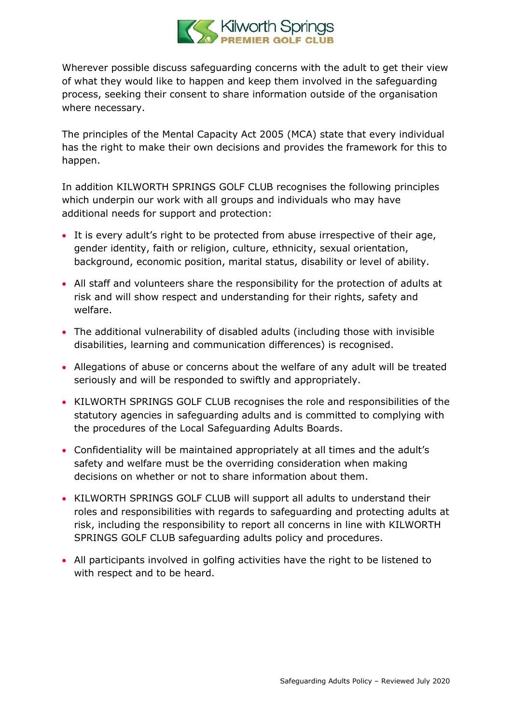

Wherever possible discuss safeguarding concerns with the adult to get their view of what they would like to happen and keep them involved in the safeguarding process, seeking their consent to share information outside of the organisation where necessary.

The principles of the Mental Capacity Act 2005 (MCA) state that every individual has the right to make their own decisions and provides the framework for this to happen.

In addition KILWORTH SPRINGS GOLF CLUB recognises the following principles which underpin our work with all groups and individuals who may have additional needs for support and protection:

- It is every adult's right to be protected from abuse irrespective of their age, gender identity, faith or religion, culture, ethnicity, sexual orientation, background, economic position, marital status, disability or level of ability.
- All staff and volunteers share the responsibility for the protection of adults at risk and will show respect and understanding for their rights, safety and welfare.
- The additional vulnerability of disabled adults (including those with invisible disabilities, learning and communication differences) is recognised.
- Allegations of abuse or concerns about the welfare of any adult will be treated seriously and will be responded to swiftly and appropriately.
- KILWORTH SPRINGS GOLF CLUB recognises the role and responsibilities of the statutory agencies in safeguarding adults and is committed to complying with the procedures of the Local Safeguarding Adults Boards.
- Confidentiality will be maintained appropriately at all times and the adult's safety and welfare must be the overriding consideration when making decisions on whether or not to share information about them.
- KILWORTH SPRINGS GOLF CLUB will support all adults to understand their roles and responsibilities with regards to safeguarding and protecting adults at risk, including the responsibility to report all concerns in line with KILWORTH SPRINGS GOLF CLUB safeguarding adults policy and procedures.
- All participants involved in golfing activities have the right to be listened to with respect and to be heard.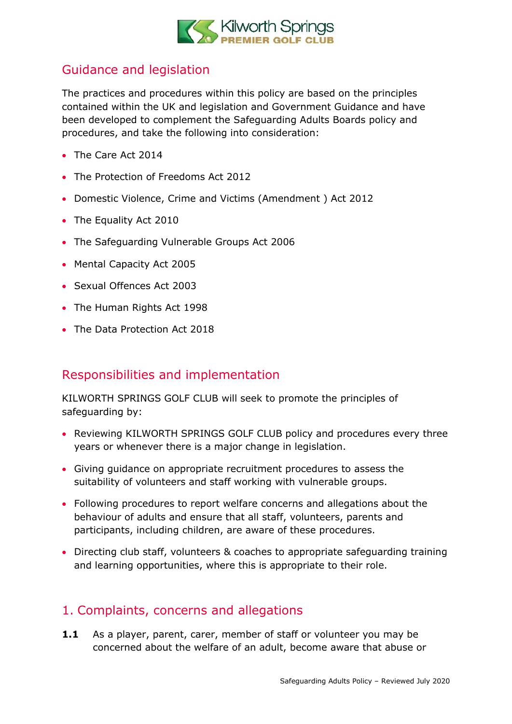

### Guidance and legislation

The practices and procedures within this policy are based on the principles contained within the UK and legislation and Government Guidance and have been developed to complement the Safeguarding Adults Boards policy and procedures, and take the following into consideration:

- The Care Act 2014
- The Protection of Freedoms Act 2012
- Domestic Violence, Crime and Victims (Amendment ) Act 2012
- The Equality Act 2010
- The Safeguarding Vulnerable Groups Act 2006
- Mental Capacity Act 2005
- Sexual Offences Act 2003
- The Human Rights Act 1998
- The Data Protection Act 2018

### Responsibilities and implementation

KILWORTH SPRINGS GOLF CLUB will seek to promote the principles of safeguarding by:

- Reviewing KILWORTH SPRINGS GOLF CLUB policy and procedures every three years or whenever there is a major change in legislation.
- Giving guidance on appropriate recruitment procedures to assess the suitability of volunteers and staff working with vulnerable groups.
- Following procedures to report welfare concerns and allegations about the behaviour of adults and ensure that all staff, volunteers, parents and participants, including children, are aware of these procedures.
- Directing club staff, volunteers & coaches to appropriate safeguarding training and learning opportunities, where this is appropriate to their role.

### <span id="page-3-0"></span>1. Complaints, concerns and allegations

**1.1** As a player, parent, carer, member of staff or volunteer you may be concerned about the welfare of an adult, become aware that abuse or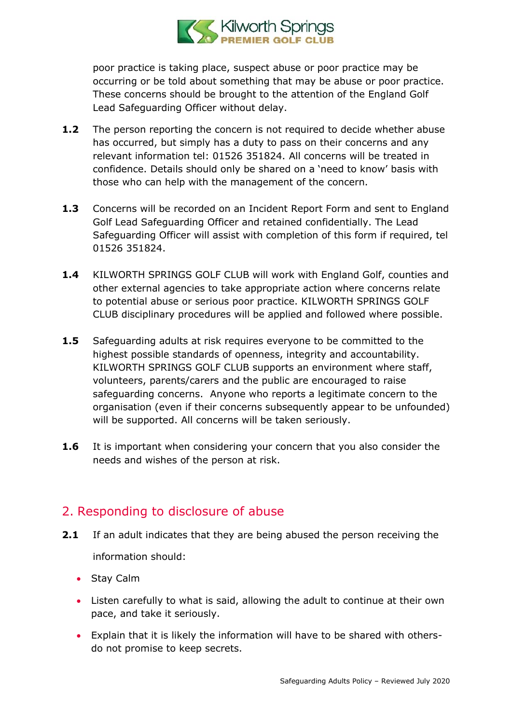

poor practice is taking place, suspect abuse or poor practice may be occurring or be told about something that may be abuse or poor practice. These concerns should be brought to the attention of the England Golf Lead Safeguarding Officer without delay.

- **1.2** The person reporting the concern is not required to decide whether abuse has occurred, but simply has a duty to pass on their concerns and any relevant information tel: 01526 351824. All concerns will be treated in confidence. Details should only be shared on a 'need to know' basis with those who can help with the management of the concern.
- **1.3** Concerns will be recorded on an Incident Report Form and sent to England Golf Lead Safeguarding Officer and retained confidentially. The Lead Safeguarding Officer will assist with completion of this form if required, tel 01526 351824.
- **1.4** KILWORTH SPRINGS GOLF CLUB will work with England Golf, counties and other external agencies to take appropriate action where concerns relate to potential abuse or serious poor practice. KILWORTH SPRINGS GOLF CLUB disciplinary procedures will be applied and followed where possible.
- **1.5** Safeguarding adults at risk requires everyone to be committed to the highest possible standards of openness, integrity and accountability. KILWORTH SPRINGS GOLF CLUB supports an environment where staff, volunteers, parents/carers and the public are encouraged to raise safeguarding concerns. Anyone who reports a legitimate concern to the organisation (even if their concerns subsequently appear to be unfounded) will be supported. All concerns will be taken seriously.
- **1.6** It is important when considering your concern that you also consider the needs and wishes of the person at risk.

### <span id="page-4-0"></span>2. Responding to disclosure of abuse

- **2.1** If an adult indicates that they are being abused the person receiving the information should:
	- Stay Calm
	- Listen carefully to what is said, allowing the adult to continue at their own pace, and take it seriously.
	- Explain that it is likely the information will have to be shared with othersdo not promise to keep secrets.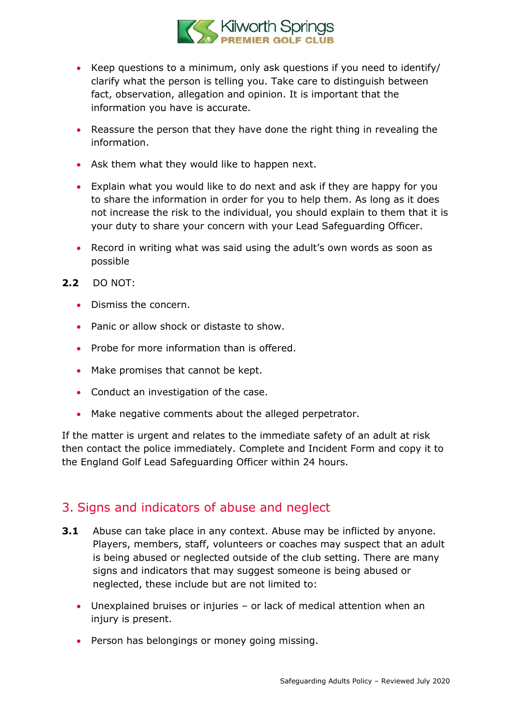

- Keep questions to a minimum, only ask questions if you need to identify/ clarify what the person is telling you. Take care to distinguish between fact, observation, allegation and opinion. It is important that the information you have is accurate.
- Reassure the person that they have done the right thing in revealing the information.
- Ask them what they would like to happen next.
- Explain what you would like to do next and ask if they are happy for you to share the information in order for you to help them. As long as it does not increase the risk to the individual, you should explain to them that it is your duty to share your concern with your Lead Safeguarding Officer.
- Record in writing what was said using the adult's own words as soon as possible
- **2.2** DO NOT:
	- Dismiss the concern.
	- Panic or allow shock or distaste to show.
	- Probe for more information than is offered.
	- Make promises that cannot be kept.
	- Conduct an investigation of the case.
	- Make negative comments about the alleged perpetrator.

If the matter is urgent and relates to the immediate safety of an adult at risk then contact the police immediately. Complete and Incident Form and copy it to the England Golf Lead Safeguarding Officer within 24 hours.

#### <span id="page-5-0"></span>3. Signs and indicators of abuse and neglect

- **3.1** Abuse can take place in any context. Abuse may be inflicted by anyone. Players, members, staff, volunteers or coaches may suspect that an adult is being abused or neglected outside of the club setting. There are many signs and indicators that may suggest someone is being abused or neglected, these include but are not limited to:
	- Unexplained bruises or injuries or lack of medical attention when an injury is present.
	- Person has belongings or money going missing.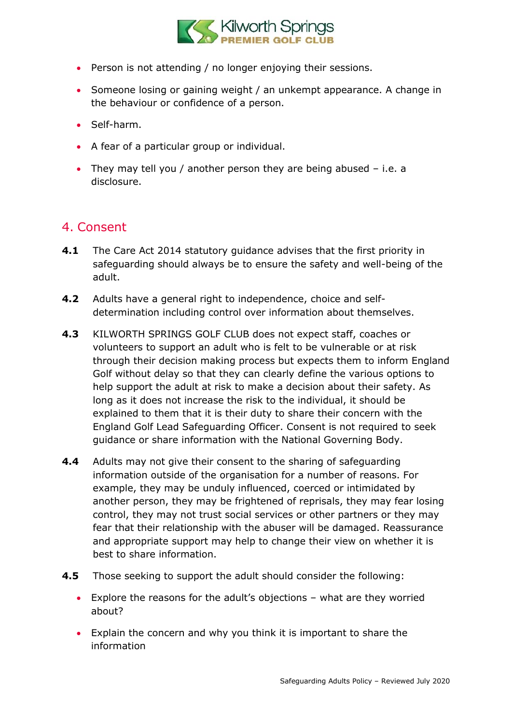

- Person is not attending / no longer enjoying their sessions.
- Someone losing or gaining weight / an unkempt appearance. A change in the behaviour or confidence of a person.
- Self-harm.
- A fear of a particular group or individual.
- They may tell you / another person they are being abused i.e. a disclosure.

### <span id="page-6-0"></span>4. Consent

- **4.1** The Care Act 2014 statutory guidance advises that the first priority in safeguarding should always be to ensure the safety and well-being of the adult.
- **4.2** Adults have a general right to independence, choice and selfdetermination including control over information about themselves.
- **4.3** KILWORTH SPRINGS GOLF CLUB does not expect staff, coaches or volunteers to support an adult who is felt to be vulnerable or at risk through their decision making process but expects them to inform England Golf without delay so that they can clearly define the various options to help support the adult at risk to make a decision about their safety. As long as it does not increase the risk to the individual, it should be explained to them that it is their duty to share their concern with the England Golf Lead Safeguarding Officer. Consent is not required to seek guidance or share information with the National Governing Body.
- **4.4** Adults may not give their consent to the sharing of safeguarding information outside of the organisation for a number of reasons. For example, they may be unduly influenced, coerced or intimidated by another person, they may be frightened of reprisals, they may fear losing control, they may not trust social services or other partners or they may fear that their relationship with the abuser will be damaged. Reassurance and appropriate support may help to change their view on whether it is best to share information.
- **4.5** Those seeking to support the adult should consider the following:
	- Explore the reasons for the adult's objections what are they worried about?
	- Explain the concern and why you think it is important to share the information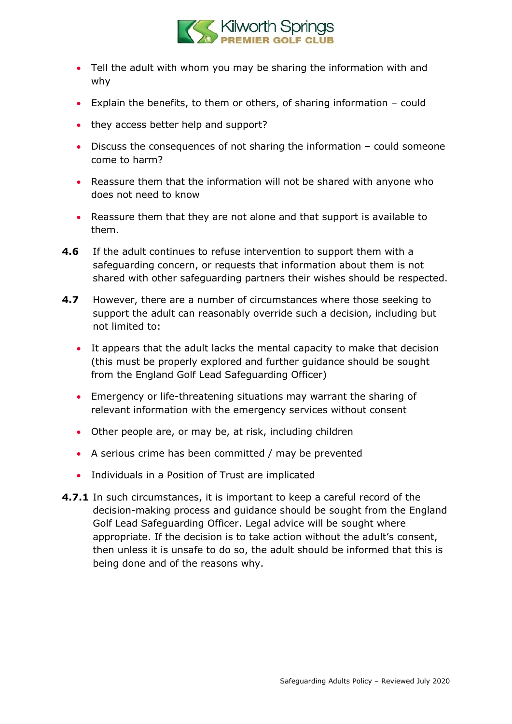

- Tell the adult with whom you may be sharing the information with and why
- Explain the benefits, to them or others, of sharing information could
- they access better help and support?
- Discuss the consequences of not sharing the information could someone come to harm?
- Reassure them that the information will not be shared with anyone who does not need to know
- Reassure them that they are not alone and that support is available to them.
- **4.6** If the adult continues to refuse intervention to support them with a safeguarding concern, or requests that information about them is not shared with other safeguarding partners their wishes should be respected.
- **4.7** However, there are a number of circumstances where those seeking to support the adult can reasonably override such a decision, including but not limited to:
	- It appears that the adult lacks the mental capacity to make that decision (this must be properly explored and further guidance should be sought from the England Golf Lead Safeguarding Officer)
	- Emergency or life-threatening situations may warrant the sharing of relevant information with the emergency services without consent
	- Other people are, or may be, at risk, including children
	- A serious crime has been committed / may be prevented
	- Individuals in a Position of Trust are implicated
- **4.7.1** In such circumstances, it is important to keep a careful record of the decision-making process and guidance should be sought from the England Golf Lead Safeguarding Officer. Legal advice will be sought where appropriate. If the decision is to take action without the adult's consent, then unless it is unsafe to do so, the adult should be informed that this is being done and of the reasons why.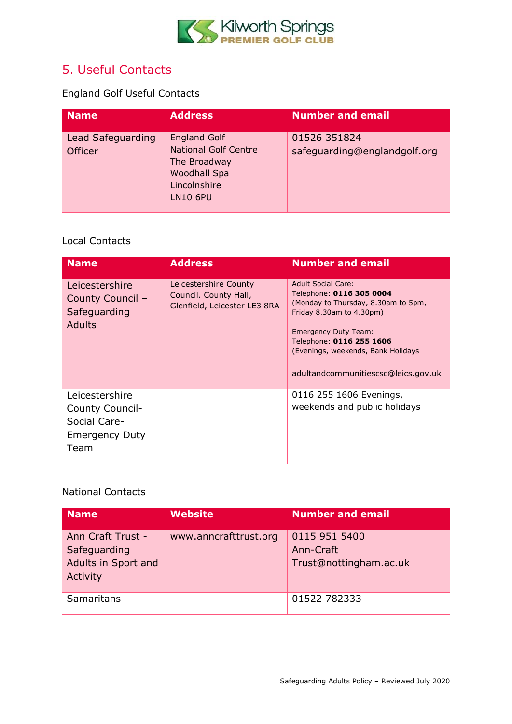

### <span id="page-8-0"></span>5. Useful Contacts

England Golf Useful Contacts

| <b>Name</b>                         | <b>Address</b>                                                                                                        | <b>Number and email</b>                      |
|-------------------------------------|-----------------------------------------------------------------------------------------------------------------------|----------------------------------------------|
| Lead Safeguarding<br><b>Officer</b> | <b>England Golf</b><br><b>National Golf Centre</b><br>The Broadway<br>Woodhall Spa<br>Lincolnshire<br><b>LN10 6PU</b> | 01526 351824<br>safeguarding@englandgolf.org |

#### Local Contacts

| <b>Name</b>                                                                        | <b>Address</b>                                                                 | <b>Number and email</b>                                                                                                                                                                                                                                          |
|------------------------------------------------------------------------------------|--------------------------------------------------------------------------------|------------------------------------------------------------------------------------------------------------------------------------------------------------------------------------------------------------------------------------------------------------------|
| Leicestershire<br>County Council -<br>Safeguarding<br>Adults                       | Leicestershire County<br>Council. County Hall,<br>Glenfield, Leicester LE3 8RA | <b>Adult Social Care:</b><br>Telephone: 0116 305 0004<br>(Monday to Thursday, 8.30am to 5pm,<br>Friday 8.30am to 4.30pm)<br><b>Emergency Duty Team:</b><br>Telephone: 0116 255 1606<br>(Evenings, weekends, Bank Holidays<br>adultandcommunitiescsc@leics.gov.uk |
| Leicestershire<br>County Council-<br>Social Care-<br><b>Emergency Duty</b><br>Team |                                                                                | 0116 255 1606 Evenings,<br>weekends and public holidays                                                                                                                                                                                                          |

#### National Contacts

| <b>Name</b>                                                          | <b>Website</b>        | <b>Number and email</b>                              |
|----------------------------------------------------------------------|-----------------------|------------------------------------------------------|
| Ann Craft Trust -<br>Safeguarding<br>Adults in Sport and<br>Activity | www.anncrafttrust.org | 0115 951 5400<br>Ann-Craft<br>Trust@nottingham.ac.uk |
| Samaritans                                                           |                       | 01522 782333                                         |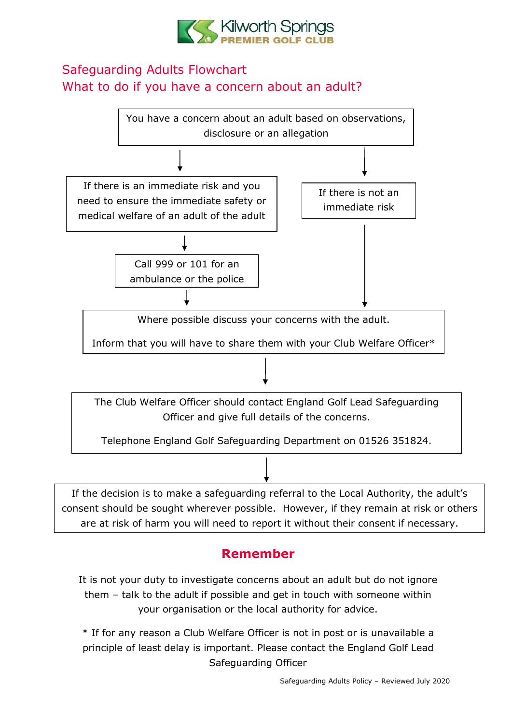

### <span id="page-9-0"></span>Safeguarding Adults Flowchart What to do if you have a concern about an adult?



### **Remember**

It is not your duty to investigate concerns about an adult but do not ignore them – talk to the adult if possible and get in touch with someone within your organisation or the local authority for advice.

\* If for any reason a Club Welfare Officer is not in post or is unavailable a principle of least delay is important. Please contact the England Golf Lead Safeguarding Officer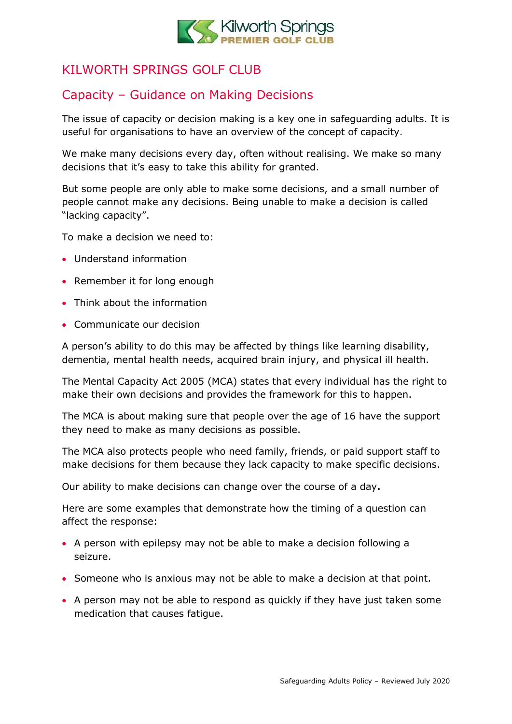

### <span id="page-10-0"></span>KILWORTH SPRINGS GOLF CLUB

### Capacity – Guidance on Making Decisions

The issue of capacity or decision making is a key one in safeguarding adults. It is useful for organisations to have an overview of the concept of capacity.

We make many decisions every day, often without realising. We make so many decisions that it's easy to take this ability for granted.

But some people are only able to make some decisions, and a small number of people cannot make any decisions. Being unable to make a decision is called "lacking capacity".

To make a decision we need to:

- Understand information
- Remember it for long enough
- Think about the information
- Communicate our decision

A person's ability to do this may be affected by things like learning disability, dementia, mental health needs, acquired brain injury, and physical ill health.

The Mental Capacity Act 2005 (MCA) states that every individual has the right to make their own decisions and provides the framework for this to happen.

The MCA is about making sure that people over the age of 16 have the support they need to make as many decisions as possible.

The MCA also protects people who need family, friends, or paid support staff to make decisions for them because they lack capacity to make specific decisions.

Our ability to make decisions can change over the course of a day**.**

Here are some examples that demonstrate how the timing of a question can affect the response:

- A person with epilepsy may not be able to make a decision following a seizure.
- Someone who is anxious may not be able to make a decision at that point.
- A person may not be able to respond as quickly if they have just taken some medication that causes fatigue.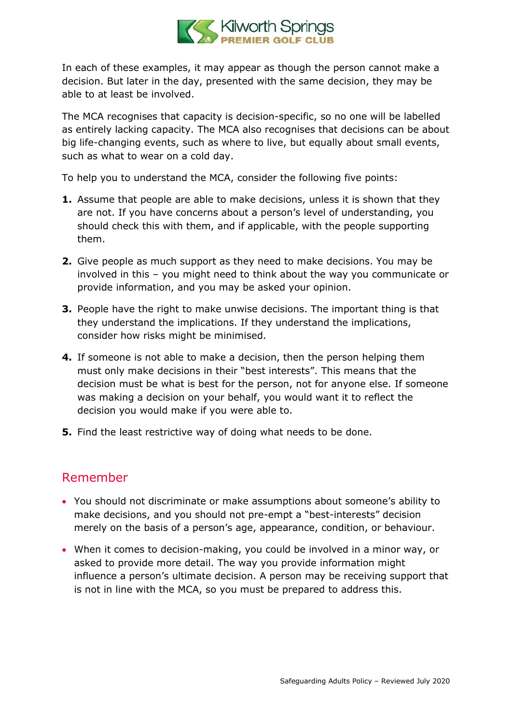

In each of these examples, it may appear as though the person cannot make a decision. But later in the day, presented with the same decision, they may be able to at least be involved.

The MCA recognises that capacity is decision-specific, so no one will be labelled as entirely lacking capacity. The MCA also recognises that decisions can be about big life-changing events, such as where to live, but equally about small events, such as what to wear on a cold day.

To help you to understand the MCA, consider the following five points:

- **1.** Assume that people are able to make decisions, unless it is shown that they are not. If you have concerns about a person's level of understanding, you should check this with them, and if applicable, with the people supporting them.
- **2.** Give people as much support as they need to make decisions. You may be involved in this – you might need to think about the way you communicate or provide information, and you may be asked your opinion.
- **3.** People have the right to make unwise decisions. The important thing is that they understand the implications. If they understand the implications, consider how risks might be minimised.
- **4.** If someone is not able to make a decision, then the person helping them must only make decisions in their "best interests". This means that the decision must be what is best for the person, not for anyone else. If someone was making a decision on your behalf, you would want it to reflect the decision you would make if you were able to.
- **5.** Find the least restrictive way of doing what needs to be done.

### Remember

- You should not discriminate or make assumptions about someone's ability to make decisions, and you should not pre-empt a "best-interests" decision merely on the basis of a person's age, appearance, condition, or behaviour.
- When it comes to decision-making, you could be involved in a minor way, or asked to provide more detail. The way you provide information might influence a person's ultimate decision. A person may be receiving support that is not in line with the MCA, so you must be prepared to address this.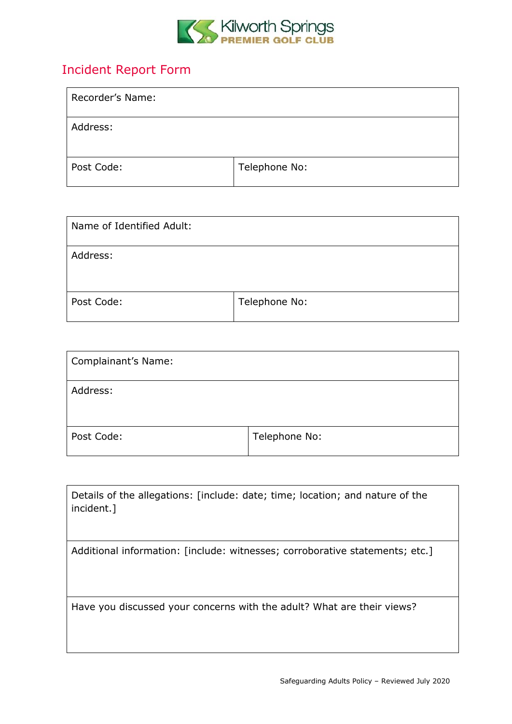

### <span id="page-12-0"></span>Incident Report Form

| Recorder's Name: |               |
|------------------|---------------|
| Address:         |               |
| Post Code:       | Telephone No: |

| Name of Identified Adult: |               |
|---------------------------|---------------|
| Address:                  |               |
| Post Code:                | Telephone No: |

| Complainant's Name: |               |
|---------------------|---------------|
| Address:            |               |
| Post Code:          | Telephone No: |

| Details of the allegations: [include: date; time; location; and nature of the<br>incident.] |
|---------------------------------------------------------------------------------------------|
| Additional information: [include: witnesses; corroborative statements; etc.]                |
| Have you discussed your concerns with the adult? What are their views?                      |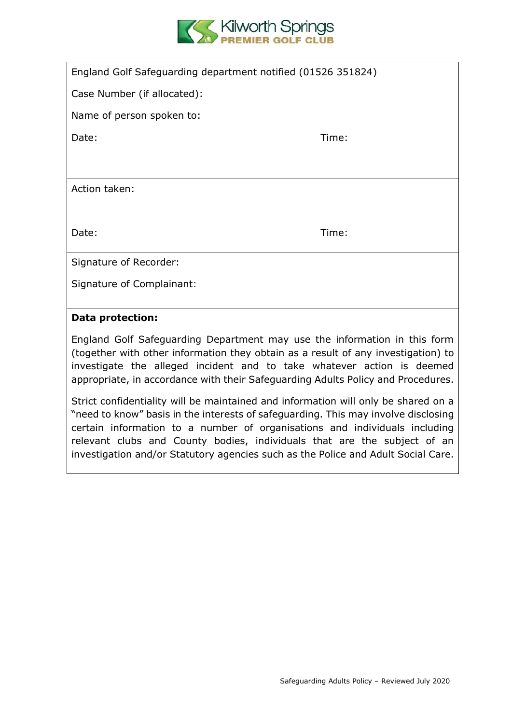

| England Golf Safeguarding department notified (01526 351824) |       |  |
|--------------------------------------------------------------|-------|--|
| Case Number (if allocated):                                  |       |  |
| Name of person spoken to:                                    |       |  |
| Date:                                                        | Time: |  |
|                                                              |       |  |
| Action taken:                                                |       |  |
|                                                              |       |  |
| Date:                                                        | Time: |  |
|                                                              |       |  |
| Signature of Recorder:                                       |       |  |
| Signature of Complainant:                                    |       |  |
|                                                              |       |  |

#### **Data protection:**

England Golf Safeguarding Department may use the information in this form (together with other information they obtain as a result of any investigation) to investigate the alleged incident and to take whatever action is deemed appropriate, in accordance with their Safeguarding Adults Policy and Procedures.

Strict confidentiality will be maintained and information will only be shared on a "need to know" basis in the interests of safeguarding. This may involve disclosing certain information to a number of organisations and individuals including relevant clubs and County bodies, individuals that are the subject of an investigation and/or Statutory agencies such as the Police and Adult Social Care.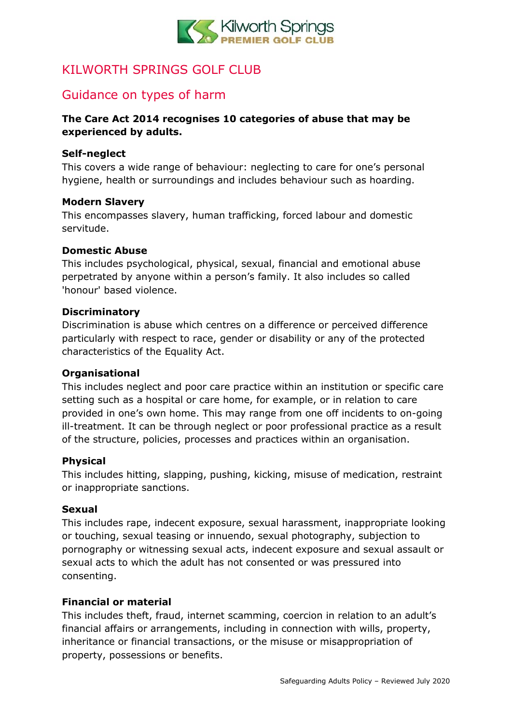

### <span id="page-14-0"></span>KILWORTH SPRINGS GOLF CLUB

### Guidance on types of harm

#### **The Care Act 2014 recognises 10 categories of abuse that may be experienced by adults.**

#### **Self-neglect**

This covers a wide range of behaviour: neglecting to care for one's personal hygiene, health or surroundings and includes behaviour such as hoarding.

#### **Modern Slavery**

This encompasses slavery, human trafficking, forced labour and domestic servitude.

#### **Domestic Abuse**

This includes psychological, physical, sexual, financial and emotional abuse perpetrated by anyone within a person's family. It also includes so called 'honour' based violence.

#### **Discriminatory**

Discrimination is abuse which centres on a difference or perceived difference particularly with respect to race, gender or disability or any of the protected characteristics of the Equality Act.

#### **Organisational**

This includes neglect and poor care practice within an institution or specific care setting such as a hospital or care home, for example, or in relation to care provided in one's own home. This may range from one off incidents to on-going ill-treatment. It can be through neglect or poor professional practice as a result of the structure, policies, processes and practices within an organisation.

#### **Physical**

This includes hitting, slapping, pushing, kicking, misuse of medication, restraint or inappropriate sanctions.

#### **Sexual**

This includes rape, indecent exposure, sexual harassment, inappropriate looking or touching, sexual teasing or innuendo, sexual photography, subjection to pornography or witnessing sexual acts, indecent exposure and sexual assault or sexual acts to which the adult has not consented or was pressured into consenting.

#### **Financial or material**

This includes theft, fraud, internet scamming, coercion in relation to an adult's financial affairs or arrangements, including in connection with wills, property, inheritance or financial transactions, or the misuse or misappropriation of property, possessions or benefits.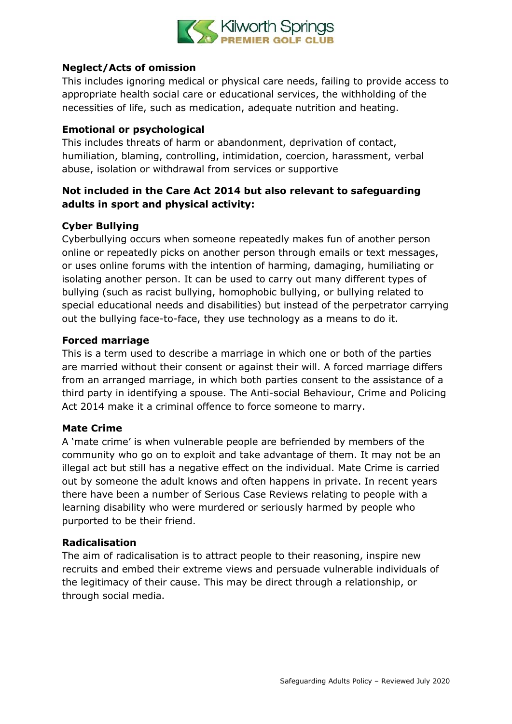

#### **Neglect/Acts of omission**

This includes ignoring medical or physical care needs, failing to provide access to appropriate health social care or educational services, the withholding of the necessities of life, such as medication, adequate nutrition and heating.

#### **Emotional or psychological**

This includes threats of harm or abandonment, deprivation of contact, humiliation, blaming, controlling, intimidation, coercion, harassment, verbal abuse, isolation or withdrawal from services or supportive

#### **Not included in the Care Act 2014 but also relevant to safeguarding adults in sport and physical activity:**

#### **Cyber Bullying**

Cyberbullying occurs when someone repeatedly makes fun of another person online or repeatedly picks on another person through emails or text messages, or uses online forums with the intention of harming, damaging, humiliating or isolating another person. It can be used to carry out many different types of bullying (such as racist bullying, homophobic bullying, or bullying related to special educational needs and disabilities) but instead of the perpetrator carrying out the bullying face-to-face, they use technology as a means to do it.

#### **Forced marriage**

This is a term used to describe a marriage in which one or both of the parties are married without their consent or against their will. A forced marriage differs from an arranged marriage, in which both parties consent to the assistance of a third party in identifying a spouse. The Anti-social Behaviour, Crime and Policing Act 2014 make it a criminal offence to force someone to marry.

#### **Mate Crime**

A 'mate crime' is when vulnerable people are befriended by members of the community who go on to exploit and take advantage of them. It may not be an illegal act but still has a negative effect on the individual. Mate Crime is carried out by someone the adult knows and often happens in private. In recent years there have been a number of Serious Case Reviews relating to people with a learning disability who were murdered or seriously harmed by people who purported to be their friend.

#### **Radicalisation**

The aim of radicalisation is to attract people to their reasoning, inspire new recruits and embed their extreme views and persuade vulnerable individuals of the legitimacy of their cause. This may be direct through a relationship, or through social media.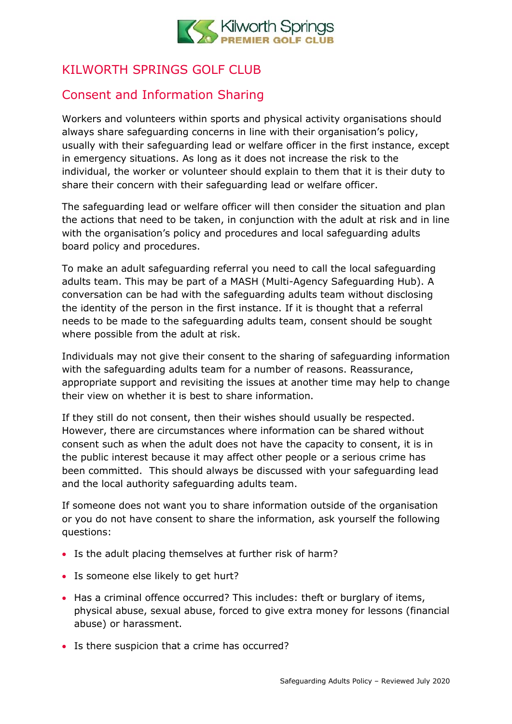

### <span id="page-16-0"></span>KILWORTH SPRINGS GOLF CLUB

### Consent and Information Sharing

Workers and volunteers within sports and physical activity organisations should always share safeguarding concerns in line with their organisation's policy, usually with their safeguarding lead or welfare officer in the first instance, except in emergency situations. As long as it does not increase the risk to the individual, the worker or volunteer should explain to them that it is their duty to share their concern with their safeguarding lead or welfare officer.

The safeguarding lead or welfare officer will then consider the situation and plan the actions that need to be taken, in conjunction with the adult at risk and in line with the organisation's policy and procedures and local safeguarding adults board policy and procedures.

To make an adult safeguarding referral you need to call the local safeguarding adults team. This may be part of a MASH (Multi*-*Agency Safeguarding Hub). A conversation can be had with the safeguarding adults team without disclosing the identity of the person in the first instance. If it is thought that a referral needs to be made to the safeguarding adults team, consent should be sought where possible from the adult at risk.

Individuals may not give their consent to the sharing of safeguarding information with the safeguarding adults team for a number of reasons. Reassurance, appropriate support and revisiting the issues at another time may help to change their view on whether it is best to share information.

If they still do not consent, then their wishes should usually be respected. However, there are circumstances where information can be shared without consent such as when the adult does not have the capacity to consent, it is in the public interest because it may affect other people or a serious crime has been committed. This should always be discussed with your safeguarding lead and the local authority safeguarding adults team.

If someone does not want you to share information outside of the organisation or you do not have consent to share the information, ask yourself the following questions:

- Is the adult placing themselves at further risk of harm?
- Is someone else likely to get hurt?
- Has a criminal offence occurred? This includes: theft or burglary of items, physical abuse, sexual abuse, forced to give extra money for lessons (financial abuse) or harassment.
- Is there suspicion that a crime has occurred?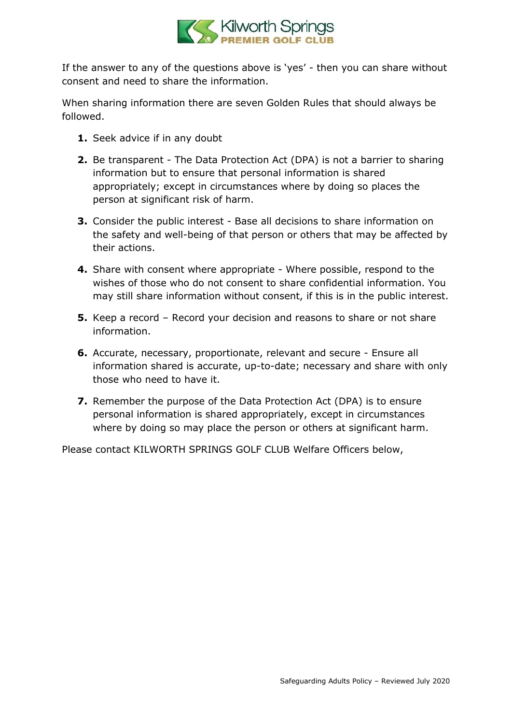

If the answer to any of the questions above is 'yes' - then you can share without consent and need to share the information.

When sharing information there are seven Golden Rules that should always be followed.

- **1.** Seek advice if in any doubt
- **2.** Be transparent The Data Protection Act (DPA) is not a barrier to sharing information but to ensure that personal information is shared appropriately; except in circumstances where by doing so places the person at significant risk of harm.
- **3.** Consider the public interest Base all decisions to share information on the safety and well-being of that person or others that may be affected by their actions.
- **4.** Share with consent where appropriate Where possible, respond to the wishes of those who do not consent to share confidential information. You may still share information without consent, if this is in the public interest.
- **5.** Keep a record Record your decision and reasons to share or not share information.
- **6.** Accurate, necessary, proportionate, relevant and secure Ensure all information shared is accurate, up-to-date; necessary and share with only those who need to have it.
- **7.** Remember the purpose of the Data Protection Act (DPA) is to ensure personal information is shared appropriately, except in circumstances where by doing so may place the person or others at significant harm.

Please contact KILWORTH SPRINGS GOLF CLUB Welfare Officers below,